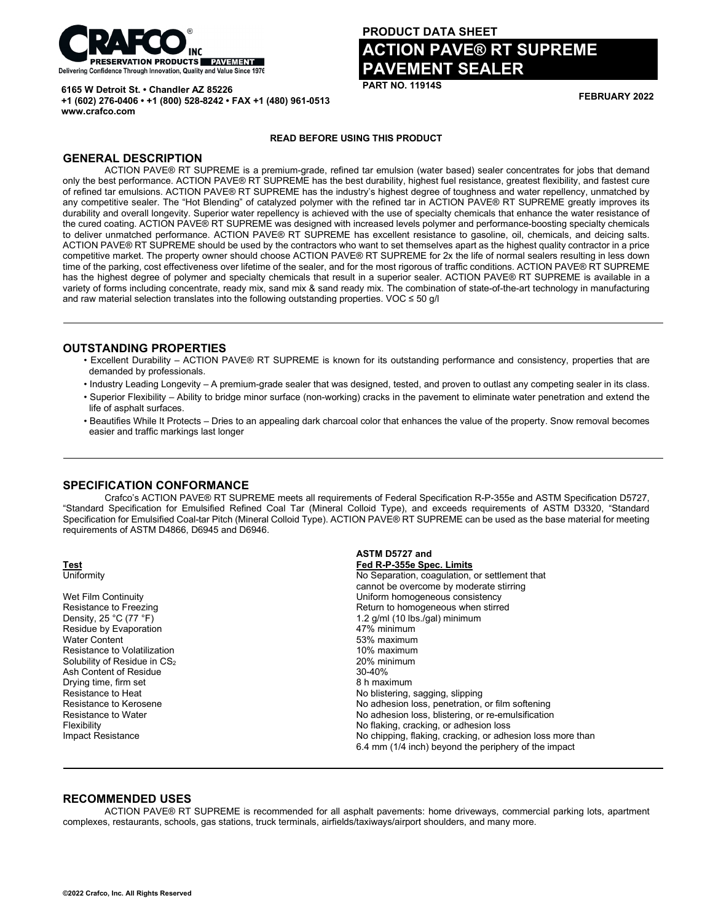

**+1 (602) 276-0406 • +1 (800) 528-8242 • FAX +1 (480) 961-0513**

**6165 W Detroit St. • Chandler AZ 85226**

# **PRODUCT DATA SHEET ACTION PAVE® RT SUPREME PAVEMENT SEALER**

**PART NO. 11914S**

**FEBRUARY 2022**

### **READ BEFORE USING THIS PRODUCT**

# **GENERAL DESCRIPTION**

**www.crafco.com**

ACTION PAVE® RT SUPREME is a premium-grade, refined tar emulsion (water based) sealer concentrates for jobs that demand only the best performance. ACTION PAVE® RT SUPREME has the best durability, highest fuel resistance, greatest flexibility, and fastest cure of refined tar emulsions. ACTION PAVE® RT SUPREME has the industry's highest degree of toughness and water repellency, unmatched by any competitive sealer. The "Hot Blending" of catalyzed polymer with the refined tar in ACTION PAVE® RT SUPREME greatly improves its durability and overall longevity. Superior water repellency is achieved with the use of specialty chemicals that enhance the water resistance of the cured coating. ACTION PAVE® RT SUPREME was designed with increased levels polymer and performance-boosting specialty chemicals to deliver unmatched performance. ACTION PAVE® RT SUPREME has excellent resistance to gasoline, oil, chemicals, and deicing salts. ACTION PAVE® RT SUPREME should be used by the contractors who want to set themselves apart as the highest quality contractor in a price competitive market. The property owner should choose ACTION PAVE® RT SUPREME for 2x the life of normal sealers resulting in less down time of the parking, cost effectiveness over lifetime of the sealer, and for the most rigorous of traffic conditions. ACTION PAVE® RT SUPREME has the highest degree of polymer and specialty chemicals that result in a superior sealer. ACTION PAVE® RT SUPREME is available in a variety of forms including concentrate, ready mix, sand mix & sand ready mix. The combination of state-of-the-art technology in manufacturing and raw material selection translates into the following outstanding properties. VOC  $\leq$  50 g/l

### **OUTSTANDING PROPERTIES**

- Excellent Durability ACTION PAVE® RT SUPREME is known for its outstanding performance and consistency, properties that are demanded by professionals.
- Industry Leading Longevity A premium-grade sealer that was designed, tested, and proven to outlast any competing sealer in its class.
- Superior Flexibility Ability to bridge minor surface (non-working) cracks in the pavement to eliminate water penetration and extend the life of asphalt surfaces.
- Beautifies While It Protects Dries to an appealing dark charcoal color that enhances the value of the property. Snow removal becomes easier and traffic markings last longer

# **SPECIFICATION CONFORMANCE**

Crafco's ACTION PAVE® RT SUPREME meets all requirements of Federal Specification R-P-355e and ASTM Specification D5727, "Standard Specification for Emulsified Refined Coal Tar (Mineral Colloid Type), and exceeds requirements of ASTM D3320, "Standard Specification for Emulsified Coal-tar Pitch (Mineral Colloid Type). ACTION PAVE® RT SUPREME can be used as the base material for meeting requirements of ASTM D4866, D6945 and D6946.

|                                            | ASTM D5727 and                                             |  |  |  |  |
|--------------------------------------------|------------------------------------------------------------|--|--|--|--|
| <b>Test</b>                                | Fed R-P-355e Spec. Limits                                  |  |  |  |  |
| Uniformity                                 | No Separation, coagulation, or settlement that             |  |  |  |  |
|                                            | cannot be overcome by moderate stirring                    |  |  |  |  |
| Wet Film Continuity                        | Uniform homogeneous consistency                            |  |  |  |  |
| Resistance to Freezing                     | Return to homogeneous when stirred                         |  |  |  |  |
| Density, 25 $^{\circ}$ C (77 $^{\circ}$ F) | 1.2 g/ml (10 lbs./gal) minimum                             |  |  |  |  |
| Residue by Evaporation                     | 47% minimum                                                |  |  |  |  |
| <b>Water Content</b>                       | 53% maximum                                                |  |  |  |  |
| Resistance to Volatilization               | 10% maximum                                                |  |  |  |  |
| Solubility of Residue in CS <sub>2</sub>   | 20% minimum                                                |  |  |  |  |
| Ash Content of Residue                     | $30 - 40%$                                                 |  |  |  |  |
| Drying time, firm set                      | 8 h maximum                                                |  |  |  |  |
| Resistance to Heat                         | No blistering, sagging, slipping                           |  |  |  |  |
| Resistance to Kerosene                     | No adhesion loss, penetration, or film softening           |  |  |  |  |
| Resistance to Water                        | No adhesion loss, blistering, or re-emulsification         |  |  |  |  |
| Flexibility                                | No flaking, cracking, or adhesion loss                     |  |  |  |  |
| Impact Resistance                          | No chipping, flaking, cracking, or adhesion loss more than |  |  |  |  |
|                                            | 6.4 mm (1/4 inch) beyond the periphery of the impact       |  |  |  |  |
|                                            |                                                            |  |  |  |  |

## **RECOMMENDED USES**

ACTION PAVE® RT SUPREME is recommended for all asphalt pavements: home driveways, commercial parking lots, apartment complexes, restaurants, schools, gas stations, truck terminals, airfields/taxiways/airport shoulders, and many more.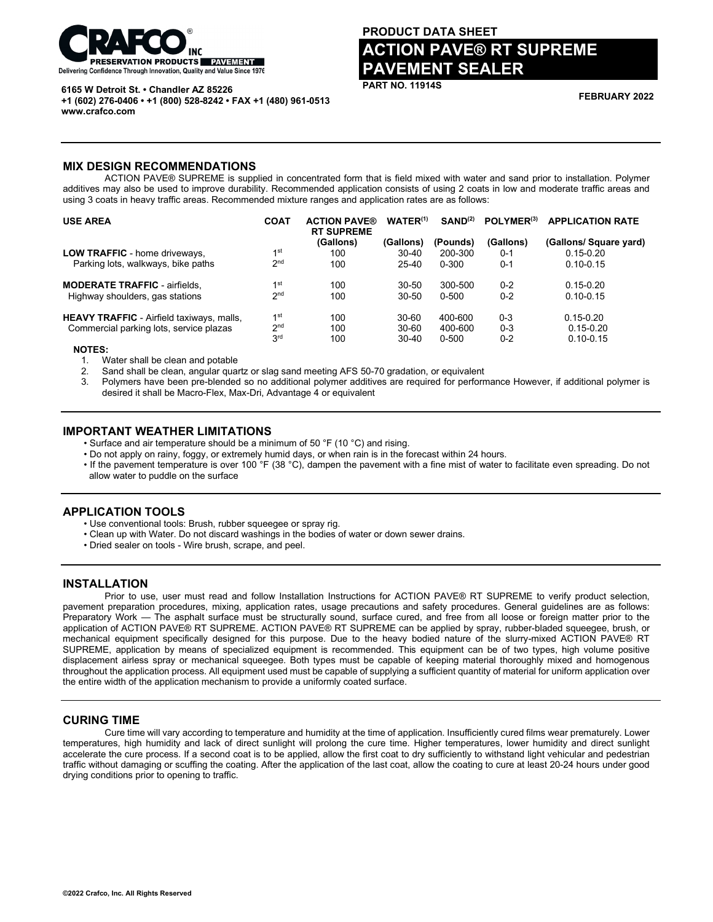

#### **6165 W Detroit St. • Chandler AZ 85226**

**+1 (602) 276-0406 • +1 (800) 528-8242 • FAX +1 (480) 961-0513 www.crafco.com**

# **PRODUCT DATA SHEET ACTION PAVE® RT SUPREME PAVEMENT SEALER**

**PART NO. 11914S**

**FEBRUARY 2022**

## **MIX DESIGN RECOMMENDATIONS**

ACTION PAVE® SUPREME is supplied in concentrated form that is field mixed with water and sand prior to installation. Polymer additives may also be used to improve durability. Recommended application consists of using 2 coats in low and moderate traffic areas and using 3 coats in heavy traffic areas. Recommended mixture ranges and application rates are as follows:

| <b>USE AREA</b>                                  | <b>COAT</b>     | <b>ACTION PAVE®</b><br><b>RT SUPREME</b> | $WATER^{(1)}$ | SAND <sup>(2)</sup> | POLYMER <sup>(3)</sup> | <b>APPLICATION RATE</b> |
|--------------------------------------------------|-----------------|------------------------------------------|---------------|---------------------|------------------------|-------------------------|
|                                                  |                 | (Gallons)                                | (Gallons)     | (Pounds)            | (Gallons)              | (Gallons/ Square yard)  |
| <b>LOW TRAFFIC</b> - home driveways,             | 1st             | 100                                      | $30 - 40$     | 200-300             | $0 - 1$                | $0.15 - 0.20$           |
| Parking lots, walkways, bike paths               | 2 <sub>nd</sub> | 100                                      | $25 - 40$     | 0-300               | $0 - 1$                | $0.10 - 0.15$           |
| <b>MODERATE TRAFFIC - airfields,</b>             | 1 <sup>st</sup> | 100                                      | $30 - 50$     | 300-500             | $0 - 2$                | $0.15 - 0.20$           |
| Highway shoulders, gas stations                  | 2 <sub>nd</sub> | 100                                      | $30 - 50$     | 0-500               | $0 - 2$                | $0.10 - 0.15$           |
| <b>HEAVY TRAFFIC</b> - Airfield taxiways, malls, | 1 <sup>st</sup> | 100                                      | $30 - 60$     | 400-600             | $0 - 3$                | $0.15 - 0.20$           |
| Commercial parking lots, service plazas          | 2 <sub>nd</sub> | 100                                      | $30 - 60$     | 400-600             | $0 - 3$                | $0.15 - 0.20$           |
|                                                  | 3 <sup>rd</sup> | 100                                      | $30 - 40$     | $0 - 500$           | $0 - 2$                | $0.10 - 0.15$           |
| $\cdots$                                         |                 |                                          |               |                     |                        |                         |

 **NOTES:**

1. Water shall be clean and potable

2. Sand shall be clean, angular quartz or slag sand meeting AFS 50-70 gradation, or equivalent

Polymers have been pre-blended so no additional polymer additives are required for performance However, if additional polymer is desired it shall be Macro-Flex, Max-Dri, Advantage 4 or equivalent

# **IMPORTANT WEATHER LIMITATIONS**

• Surface and air temperature should be a minimum of 50 °F (10 °C) and rising.

- Do not apply on rainy, foggy, or extremely humid days, or when rain is in the forecast within 24 hours.
- If the pavement temperature is over 100 °F (38 °C), dampen the pavement with a fine mist of water to facilitate even spreading. Do not allow water to puddle on the surface

# **APPLICATION TOOLS**

- Use conventional tools: Brush, rubber squeegee or spray rig.
- Clean up with Water. Do not discard washings in the bodies of water or down sewer drains.
- Dried sealer on tools Wire brush, scrape, and peel.

# **INSTALLATION**

Prior to use, user must read and follow Installation Instructions for ACTION PAVE® RT SUPREME to verify product selection, pavement preparation procedures, mixing, application rates, usage precautions and safety procedures. General guidelines are as follows: Preparatory Work — The asphalt surface must be structurally sound, surface cured, and free from all loose or foreign matter prior to the application of ACTION PAVE® RT SUPREME. ACTION PAVE® RT SUPREME can be applied by spray, rubber-bladed squeegee, brush, or mechanical equipment specifically designed for this purpose. Due to the heavy bodied nature of the slurry-mixed ACTION PAVE® RT SUPREME, application by means of specialized equipment is recommended. This equipment can be of two types, high volume positive displacement airless spray or mechanical squeegee. Both types must be capable of keeping material thoroughly mixed and homogenous throughout the application process. All equipment used must be capable of supplying a sufficient quantity of material for uniform application over the entire width of the application mechanism to provide a uniformly coated surface.

# **CURING TIME**

Cure time will vary according to temperature and humidity at the time of application. Insufficiently cured films wear prematurely. Lower temperatures, high humidity and lack of direct sunlight will prolong the cure time. Higher temperatures, lower humidity and direct sunlight accelerate the cure process. If a second coat is to be applied, allow the first coat to dry sufficiently to withstand light vehicular and pedestrian traffic without damaging or scuffing the coating. After the application of the last coat, allow the coating to cure at least 20-24 hours under good drying conditions prior to opening to traffic.